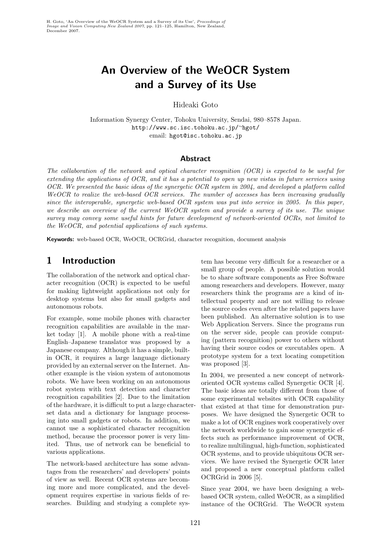# An Overview of the WeOCR System and a Survey of its Use

Hideaki Goto

Information Synergy Center, Tohoku University, Sendai, 980–8578 Japan. http://www.sc.isc.tohoku.ac.jp/∼hgot/ email: hgot@isc.tohoku.ac.jp

#### Abstract

The collaboration of the network and optical character recognition (OCR) is expected to be useful for extending the applications of OCR, and it has a potential to open up new vistas in future services using OCR. We presented the basic ideas of the synergetic OCR system in 2004, and developed a platform called WeOCR to realize the web-based OCR services. The number of accesses has been increasing gradually since the interoperable, synergetic web-based OCR system was put into service in 2005. In this paper, we describe an overview of the current WeOCR system and provide a survey of its use. The unique survey may convey some useful hints for future development of network-oriented OCRs, not limited to the WeOCR, and potential applications of such systems.

Keywords: web-based OCR, WeOCR, OCRGrid, character recognition, document analysis

# 1 Introduction

The collaboration of the network and optical character recognition (OCR) is expected to be useful for making lightweight applications not only for desktop systems but also for small gadgets and autonomous robots.

For example, some mobile phones with character recognition capabilities are available in the market today [1]. A mobile phone with a real-time English–Japanese translator was proposed by a Japanese company. Although it has a simple, builtin OCR, it requires a large language dictionary provided by an external server on the Internet. Another example is the vision system of autonomous robots. We have been working on an autonomous robot system with text detection and character recognition capabilities [2]. Due to the limitation of the hardware, it is difficult to put a large characterset data and a dictionary for language processing into small gadgets or robots. In addition, we cannot use a sophisticated character recognition method, because the processor power is very limited. Thus, use of network can be beneficial to various applications.

The network-based architecture has some advantages from the researchers' and developers' points of view as well. Recent OCR systems are becoming more and more complicated, and the development requires expertise in various fields of researches. Building and studying a complete system has become very difficult for a researcher or a small group of people. A possible solution would be to share software components as Free Software among researchers and developers. However, many researchers think the programs are a kind of intellectual property and are not willing to release the source codes even after the related papers have been published. An alternative solution is to use Web Application Servers. Since the programs run on the server side, people can provide computing (pattern recognition) power to others without having their source codes or executables open. A prototype system for a text locating competition was proposed [3].

In 2004, we presented a new concept of networkoriented OCR systems called Synergetic OCR [4]. The basic ideas are totally different from those of some experimental websites with OCR capability that existed at that time for demonstration purposes. We have designed the Synergetic OCR to make a lot of OCR engines work cooperatively over the network worldwide to gain some synergetic effects such as performance improvement of OCR, to realize multilingual, high-function, sophisticated OCR systems, and to provide ubiquitous OCR services. We have revised the Synergetic OCR later and proposed a new conceptual platform called OCRGrid in 2006 [5].

Since year 2004, we have been designing a webbased OCR system, called WeOCR, as a simplified instance of the OCRGrid. The WeOCR system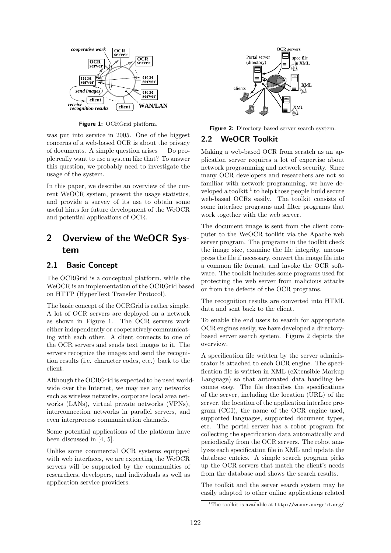

Figure 1: OCRGrid platform.

was put into service in 2005. One of the biggest concerns of a web-based OCR is about the privacy of documents. A simple question arises — Do people really want to use a system like that? To answer this question, we probably need to investigate the usage of the system.

In this paper, we describe an overview of the current WeOCR system, present the usage statistics, and provide a survey of its use to obtain some useful hints for future development of the WeOCR and potential applications of OCR.

# 2 Overview of the WeOCR System

#### 2.1 Basic Concept

The OCRGrid is a conceptual platform, while the WeOCR is an implementation of the OCRGrid based on HTTP (HyperText Transfer Protocol).

The basic concept of the OCRGrid is rather simple. A lot of OCR servers are deployed on a network as shown in Figure 1. The OCR servers work either independently or cooperatively communicating with each other. A client connects to one of the OCR servers and sends text images to it. The servers recognize the images and send the recognition results (i.e. character codes, etc.) back to the client.

Although the OCRGrid is expected to be used worldwide over the Internet, we may use any networks such as wireless networks, corporate local area networks (LANs), virtual private networks (VPNs), interconnection networks in parallel servers, and even interprocess communication channels.

Some potential applications of the platform have been discussed in [4, 5].

Unlike some commercial OCR systems equipped with web interfaces, we are expecting the WeOCR servers will be supported by the communities of researchers, developers, and individuals as well as application service providers.



Figure 2: Directory-based server search system.

### 2.2 WeOCR Toolkit

Making a web-based OCR from scratch as an application server requires a lot of expertise about network programming and network security. Since many OCR developers and researchers are not so familiar with network programming, we have developed a toolkit  $^1$  to help those people build secure web-based OCRs easily. The toolkit consists of some interface programs and filter programs that work together with the web server.

The document image is sent from the client computer to the WeOCR toolkit via the Apache web server program. The programs in the toolkit check the image size, examine the file integrity, uncompress the file if necessary, convert the image file into a common file format, and invoke the OCR software. The toolkit includes some programs used for protecting the web server from malicious attacks or from the defects of the OCR programs.

The recognition results are converted into HTML data and sent back to the client.

To enable the end users to search for appropriate OCR engines easily, we have developed a directorybased server search system. Figure 2 depicts the overview.

A specification file written by the server administrator is attached to each OCR engine. The specification file is written in XML (eXtensible Markup Language) so that automated data handling becomes easy. The file describes the specifications of the server, including the location (URL) of the server, the location of the application interface program (CGI), the name of the OCR engine used, supported languages, supported document types, etc. The portal server has a robot program for collecting the specification data automatically and periodically from the OCR servers. The robot analyzes each specification file in XML and update the database entries. A simple search program picks up the OCR servers that match the client's needs from the database and shows the search results.

The toolkit and the server search system may be easily adapted to other online applications related

<sup>&</sup>lt;sup>1</sup>The toolkit is available at http://weocr.ocrgrid.org/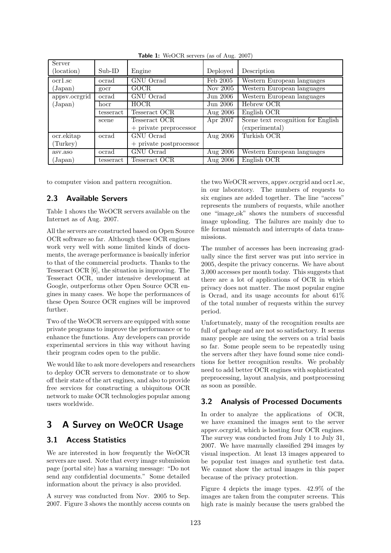| Server              |           |                           |            |                                    |
|---------------------|-----------|---------------------------|------------|------------------------------------|
| (location)          | $Sub-ID$  | Engine                    | Deployed   | Description                        |
| ocr <sub>1.sc</sub> | ocrad     | <b>GNU</b> Ocrad          | Feb 2005   | Western European languages         |
| (Japan)             | gocr      | <b>GOCR</b>               | Nov 2005   | Western European languages         |
| appsv.ocrgrid       | ocrad     | GNU Ocrad                 | Jun 2006   | Western European languages         |
| $(\text{Japan})$    | hocr      | HOCR.                     | Jun 2006   | Hebrew OCR                         |
|                     | tesseract | Tesseract OCR             | Aug 2006   | English OCR                        |
|                     | scene     | Tesseract OCR             | Apr 2007   | Scene text recognition for English |
|                     |           | $+$ private preprocessor  |            | (experimental)                     |
| ocr.ekitap          | ocrad     | GNU Ocrad                 | Aug $2006$ | Turkish OCR                        |
| (Turkey)            |           | $+$ private postprocessor |            |                                    |
| asv.aso             | ocrad     | GNU Ocrad                 | Aug $2006$ | Western European languages         |
| $\rm (Japan)$       | tesseract | Tesseract OCR             | Aug $2006$ | English OCR                        |

Table 1: WeOCR servers (as of Aug. 2007)

to computer vision and pattern recognition.

### 2.3 Available Servers

Table 1 shows the WeOCR servers available on the Internet as of Aug. 2007.

All the servers are constructed based on Open Source OCR software so far. Although these OCR engines work very well with some limited kinds of documents, the average performance is basically inferior to that of the commercial products. Thanks to the Tesseract OCR [6], the situation is improving. The Tesseract OCR, under intensive development at Google, outperforms other Open Source OCR engines in many cases. We hope the performances of these Open Source OCR engines will be improved further.

Two of the WeOCR servers are equipped with some private programs to improve the performance or to enhance the functions. Any developers can provide experimental services in this way without having their program codes open to the public.

We would like to ask more developers and researchers to deploy OCR servers to demonstrate or to show off their state of the art engines, and also to provide free services for constructing a ubiquitous OCR network to make OCR technologies popular among users worldwide.

# 3 A Survey on WeOCR Usage

### 3.1 Access Statistics

We are interested in how frequently the WeOCR servers are used. Note that every image submission page (portal site) has a warning message: "Do not send any confidential documents." Some detailed information about the privacy is also provided.

A survey was conducted from Nov. 2005 to Sep. 2007. Figure 3 shows the monthly access counts on the two WeOCR servers, appsv.ocrgrid and ocr1.sc, in our laboratory. The numbers of requests to six engines are added together. The line "access" represents the numbers of requests, while another one "image ok" shows the numbers of successful image uploading. The failures are mainly due to file format mismatch and interrupts of data transmissions.

The number of accesses has been increasing gradually since the first server was put into service in 2005, despite the privacy concerns. We have about 3,000 accesses per month today. This suggests that there are a lot of applications of OCR in which privacy does not matter. The most popular engine is Ocrad, and its usage accounts for about 61% of the total number of requests within the survey period.

Unfortunately, many of the recognition results are full of garbage and are not so satisfactory. It seems many people are using the servers on a trial basis so far. Some people seem to be repeatedly using the servers after they have found some nice conditions for better recognition results. We probably need to add better OCR engines with sophisticated preprocessing, layout analysis, and postprocessing as soon as possible.

### 3.2 Analysis of Processed Documents

In order to analyze the applications of OCR, we have examined the images sent to the server appsv.ocrgrid, which is hosting four OCR engines. The survey was conducted from July 1 to July 31, 2007. We have manually classified 294 images by visual inspection. At least 13 images appeared to be popular test images and synthetic test data. We cannot show the actual images in this paper because of the privacy protection.

Figure 4 depicts the image types. 42.9% of the images are taken from the computer screens. This high rate is mainly because the users grabbed the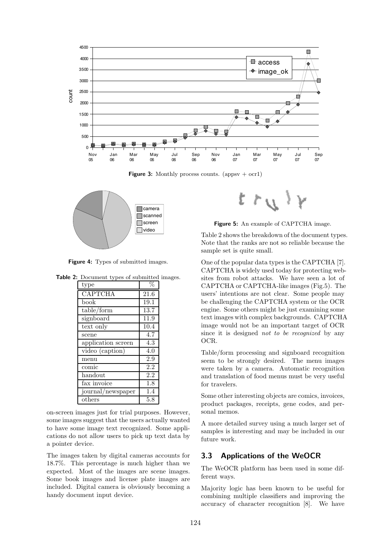

**Figure 3:** Monthly process counts. (appsv  $+$  ocr1)



Figure 4: Types of submitted images.

Table 2: Document types of submitted images.

| ocument types or submitted. |                  |  |  |  |
|-----------------------------|------------------|--|--|--|
| type                        | $\%$             |  |  |  |
| <b>CAPTCHA</b>              | 21.6             |  |  |  |
| book                        | 19.1             |  |  |  |
| table/form                  | 13.7             |  |  |  |
| signboard                   | 11.9             |  |  |  |
| text only                   | 10.4             |  |  |  |
| scene                       | 4.7              |  |  |  |
| application screen          | 4.3              |  |  |  |
| video (caption)             | 4.0              |  |  |  |
| menu                        | 2.9              |  |  |  |
| comic                       | 2.2              |  |  |  |
| handout                     | $\overline{2.2}$ |  |  |  |
| fax invoice                 | 1.8              |  |  |  |
| journal/newspaper           | 1.4              |  |  |  |
| others                      | 5.8              |  |  |  |

on-screen images just for trial purposes. However, some images suggest that the users actually wanted to have some image text recognized. Some applications do not allow users to pick up text data by a pointer device.

The images taken by digital cameras accounts for 18.7%. This percentage is much higher than we expected. Most of the images are scene images. Some book images and license plate images are included. Digital camera is obviously becoming a handy document input device.



Figure 5: An example of CAPTCHA image.

Table 2 shows the breakdown of the document types. Note that the ranks are not so reliable because the sample set is quite small.

One of the popular data types is the CAPTCHA [7]. CAPTCHA is widely used today for protecting websites from robot attacks. We have seen a lot of CAPTCHA or CAPTCHA-like images (Fig.5). The users' intentions are not clear. Some people may be challenging the CAPTCHA system or the OCR engine. Some others might be just examining some text images with complex backgrounds. CAPTCHA image would not be an important target of OCR since it is designed not to be recognized by any OCR.

Table/form processing and signboard recognition seem to be strongly desired. The menu images were taken by a camera. Automatic recognition and translation of food menus must be very useful for travelers.

Some other interesting objects are comics, invoices, product packages, receipts, gene codes, and personal memos.

A more detailed survey using a much larger set of samples is interesting and may be included in our future work.

### 3.3 Applications of the WeOCR

The WeOCR platform has been used in some different ways.

Majority logic has been known to be useful for combining multiple classifiers and improving the accuracy of character recognition [8]. We have